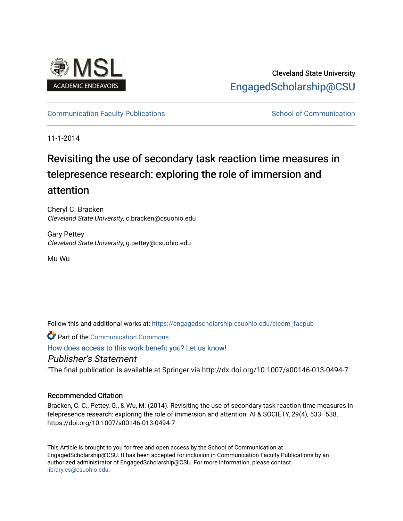

# Cleveland State University [EngagedScholarship@CSU](https://engagedscholarship.csuohio.edu/)

## [Communication Faculty Publications](https://engagedscholarship.csuohio.edu/clcom_facpub) [School of Communication](https://engagedscholarship.csuohio.edu/clcom) School of Communication

11-1-2014

# Revisiting the use of secondary task reaction time measures in telepresence research: exploring the role of immersion and attention

Cheryl C. Bracken Cleveland State University, c.bracken@csuohio.edu

Gary Pettey Cleveland State University, g.pettey@csuohio.edu

Mu Wu

Follow this and additional works at: [https://engagedscholarship.csuohio.edu/clcom\\_facpub](https://engagedscholarship.csuohio.edu/clcom_facpub?utm_source=engagedscholarship.csuohio.edu%2Fclcom_facpub%2F42&utm_medium=PDF&utm_campaign=PDFCoverPages) 

**Part of the Communication Commons** 

## [How does access to this work benefit you? Let us know!](http://library.csuohio.edu/engaged/)

## Publisher's Statement

"The final publication is available at Springer via http://dx.doi.org/10.1007/s00146-013-0494-7

### Recommended Citation

Bracken, C. C., Pettey, G., & Wu, M. (2014). Revisiting the use of secondary task reaction time measures in telepresence research: exploring the role of immersion and attention. AI & SOCIETY, 29(4), 533–538. https://doi.org/10.1007/s00146-013-0494-7

This Article is brought to you for free and open access by the School of Communication at EngagedScholarship@CSU. It has been accepted for inclusion in Communication Faculty Publications by an authorized administrator of EngagedScholarship@CSU. For more information, please contact [library.es@csuohio.edu.](mailto:library.es@csuohio.edu)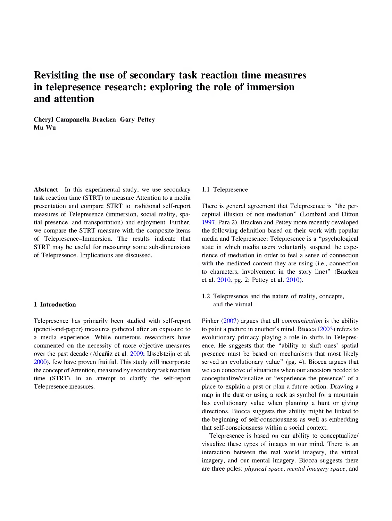## **Revisiting the use of secondary task reaction time measures in telepresence research: exploring the role of immersion and attention**

**Cheryl Campanella Bracken Gary Pettey Mu Wu**

**Abstract** In this experimental study, we use secondary task reaction time (STRT) to measure Attention to a media presentation and compare STRT to traditional self-report measures of Telepresence (immersion, social reality, spatial presence, and transportation) and enjoyment. Further, we compare the STRT measure with the composite items of Telepresence-Immersion. The results indicate that STRT may be useful for measuring some sub-dimensions of Telepresence. Implications are discussed.

#### **1 Introduction**

Telepresence has primarily been studied with self-report (pencil-and-paper) measures gathered after an exposure to a media experience. While numerous researchers have commented on the necessity of more objective measures over the past decade (Alcaniz et al. 2009; IJsselsteijn et al. 2000), few have proven fruitful. This study will incorporate the concept of Attention, measured by secondary task reaction time (STRT), in an attempt to clarify the self-report Telepresence measures.

#### 1.1 Telepresence

There is general agreement that Telepresence is "the perceptual illusion of non-mediation" (Lombard and Ditton 1997. Para 2). Bracken and Pettey more recently developed the following definition based on their work with popular media and Telepresence: Telepresence is a "psychological state in which media users voluntarily suspend the experience of mediation in order to feel a sense of connection with the mediated content they are using (i.e., connection to characters, involvement in the story line)" (Bracken et al. 2010, pg. 2; Pettey et al. 2010).

1.2 Telepresence and the nature of reality, concepts, and the virtual

Pinker (2007) argues that all *communication* is the ability to paint a picture in another's mind. Biocca (2003) refers to evolutionary primacy playing a role in shifts in Telepresence. He suggests that the "ability to shift ones' spatial presence must be based on mechanisms that most likely served an evolutionary value" (pg. 4). Biocca argues that we can conceive of situations when our ancestors needed to conceptualize/visualize or "experience the presence" of a place to explain a past or plan a future action. Drawing a map in the dust or using a rock as symbol for a mountain has evolutionary value when planning a hunt or giving directions. Biocca suggests this ability might be linked to the beginning of self-consciousness as well as embedding that self-consciousness within a social context.

Telepresence is based on our ability to conceptualize/ visualize these types of images in our mind. There is an interaction between the real world imagery, the virtual imagery, and our mental imagery. Biocca suggests there are three poles: *physical space, mental imagery space,* and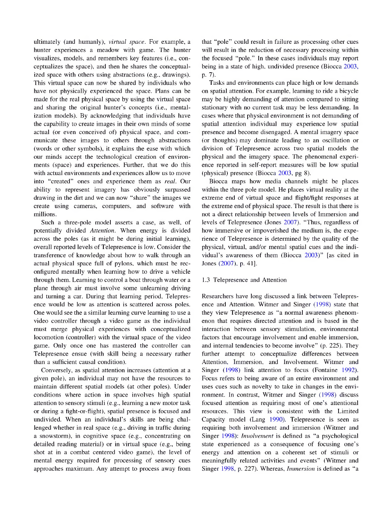ultimately (and humanly), *virtual space.* For example, a hunter experiences a meadow with game. The hunter visualizes, models, and remembers key features (i.e., conceptualizes the space), and then he shares the conceptualized space with others using abstractions (e.g., drawings). This virtual space can now be shared by individuals who have not physically experienced the space. Plans can be made for the real physical space by using the virtual space and sharing the original hunter's concepts (i.e., mental ization models). By acknowledging that individuals have the capability to create images in their own minds of some actual (or even conceived of) physical space, and communicate these images to others through abstractions (words or other symbols), it explains the ease with which our minds accept the technological creation of environments (space) and experiences. Further, that we do this with actual environments and experiences allow us to move into "created" ones and experience them as *real.* Our ability to represent imagery has obviously surpassed drawing in the dirt and we can now "share" the images we create using cameras, computers, and software with millions.

Such a three-pole model asserts a case, as well, of potentially divided *Attention.* When energy is divided across the poles (as it might be during initial learning), overall reported levels of Telepresence is low. Consider the transference of knowledge about how to walk through an actual physical space full of pylons, which must be reconfigured mentally when learning how to drive a vehicle through them. Learning to control a boat through water or a plane through air must involve some unlearning driving and turning a car. During that learning period, Telepresence would be low as attention is scattered across poles. One would see the a similar learning curve learning to use a video controller through a video game as the individual must merge physical experiences with conceptualized locomotion (controller) with the virtual space of the video game. Only once one has mastered the controller can Telepresence ensue (with skill being a necessary rather than a sufficient causal condition).

Conversely, as spatial attention increases (attention at a given pole), an individual may not have the resources to maintain different spatial models (at other poles). Under conditions where action in space involves high spatial attention to sensory stimuli (e.g., learning a new motor task or during a fight-01-flight), spatial presence is focused and undivided. When an individual's skills are being challenged whether in real space (e.g.. driving in traffic during a snowstorm), in cognitive space (e.g., concentrating on detailed reading material) or in virtual space (e.g., being shot at in a combat centered video game), the level of mental energy required for processing of sensory cues approaches maximum. Any attempt to process away from that "pole" could result in failure as processing other cues will result in the reduction of necessary processing within the focused "pole." In these cases individuals may report being in a state of high, undivided presence (Biocca 2003, p. 7).

Tasks and environments can place high or low demands on spatial attention. For example, learning to ride a bicycle may be highly demanding of attention compared to sitting stationary with no current task may be less demanding. In cases where that physical environment is not demanding of spatial attention individual may experience low spatial presence and become disengaged. A mental imagery space (or thoughts) may dominate leading to an oscillation or division of Telepresence across two spatial models the physical and the imagery space. The phenomenal experience reported in self-report measures will be low spatial (physical) presence (Biocca 2003, pg 8).

Biocca maps how media channels might be places within the three pole model. He places virtual reality at the extreme end of virtual space and flight/fight responses at the extreme end of physical space. The result is that there is not a direct relationship between levels of Immersion and levels of Telepresence (Jones 2007). "Thus, regardless of how immersive or impoverished the medium is, the experience of Telepresence is determined by the quality of the physical, virtual, and/or mental spatial cues and the individual's awareness of them (Biocca 2003)" [as cited in Jones (2007). p. 41].

#### 1.3 Telepresence and Attention

Researchers have long discussed a link between Telepresence and Attention. Witmer and Singer (1998) state that they view Telepresence as "a normal awareness phenomenon that requires directed attention and is based in the interaction between sensory stimulation, environmental factors that encourage involvement and enable immersion, and internal tendencies to become involve" (p. 225). They further attempt to conceptualize differences between Attention, Immersion, and Involvement. Witmer and Singer (1998) link attention to focus (Fontaine 1992). Focus refers to being aware of an entire environment and uses cues such as novelty to take in changes in the environment. In contrast, Witmer and Singer (1998) discuss focused attention as requiring most of one's attentional resources. This view is consistent with the Limited Capacity model (Lang 1990). Telepresence is seen as requiring both involvement and immersion (Witmer and Singer 1998): *Involvement* is defined as "a psychological state experienced as a consequence of focusing one's energy and attention on a coherent set of stimuli or meaningfully related activities and events" (Witmer and Singer 1998, p. 227). Whereas, *Immersion* is defined as "a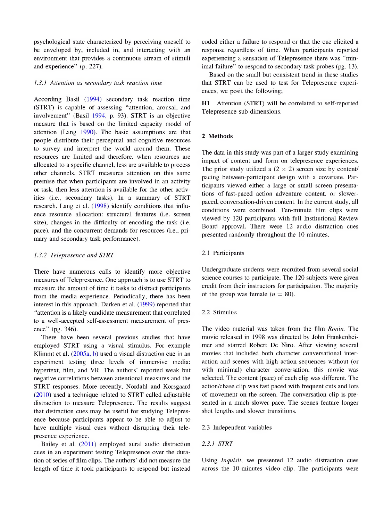psychological state characterized by perceiving oneself to be enveloped by, included in, and interacting with an environment that provides a continuous stream of stimuli and experience" (p. 227).

#### *1.3.1 Attention as secondary task reaction time*

According Basil (1994) secondary task reaction time (STRT) is capable of assessing "attention, arousal, and involvement" (Basil 1994, p. 93). STRT is an objective measure that is based on the limited capacity model of attention (Lang 1990). The basic assumptions are that people distribute their perceptual and cognitive resources to survey and interpret the world around them. These resources are limited and therefore, when resources are allocated to a specific channel, less are available to process other channels. STRT measures attention on this same premise that when participants are involved in an activity or task, then less attention is available for the other activities (i.e., secondary tasks). In a summary of STRT research. Lang et al. (1998) identify conditions that influence resource allocation: structural features (i.e. screen size), changes in the difficulty of encoding the task (i.e. pace), and the concurrent demands for resources (i.e., primary and secondary task performance).

#### *1.3.2 Telepresence and STRT*

There have numerous calls to identify more objective measures of Telepresence. One approach is to use STRT to measure the amount of time it tasks to distract participants from the media experience. Periodically, there has been interest in this approach. Darken et al. (1999) reported that "attention is a likely candidate measurement that correlated to a well-accepted self-assessment measurement of presence" (pg. 346).

There have been several previous studies that have employed STRT using a visual stimulus. For example Klimmt et al. (2005a, b) used a visual distraction cue in an experiment testing three levels of immersive media: hypertext, film, and VR. The authors' reported weak but negative correlations between attentional measures and the STRT responses. More recently, Nordahl and Korsgaard (2010) used a technique related to STRT called adjustable distraction to measure Telepresence. The results suggest that distraction cues may be useful for studying Telepresence because participants appear to be able to adjust to have multiple visual cues without disrupting their telepresence experience.

Bailey et al. (2011) employed aural audio distraction cues in an experiment testing Telepresence over the duration of series of film clips. The authors' did not measure the length of time it took participants to respond but instead coded either a failure to respond or that the cue elicited a response regardless of time. When participants reported experiencing a sensation of Telepresence there was "minimal failure" to respond to secondary task probes (pg. 13).

Based on the small but consistent trend in these studies that STRT can be used to test for Telepresence experiences, we posit the following;

**Hl** Attention (STRT) will be correlated to self-reported Telepresence sub-dimensions.

#### **2 Methods**

The data in this study was part of a larger study examining impact of content and form on telepresence experiences. The prior study utilized a  $(2 \times 2)$  screen size by content/ pacing between-participant design with a covariate. Participants viewed either a large or small screen presentations of fast-paced action adventure content, or slowerpaced, conversation-driven content. In the current study, all conditions were combined. Ten-minute film clips were viewed by 120 participants with full Institutional Review Board approval. There were 12 audio distraction cues presented randomly throughout the 10 minutes.

#### 2.1 Participants

Undergraduate students were recruited from several social science courses to participate. The 120 subjects were given credit from their instructors for participation. The majority of the group was female  $(n = 80)$ .

#### 2.2 Stimulus

The video material was taken from the film *Ronin.* The movie released in 1998 was directed by John Frankenhei mer and starred Robert De Niro. After viewing several movies that included both character conversational interaction and scenes with high action sequences without (or with minimal) character conversation, this movie was selected. The content (pace) of each clip was different. The action/chase clip was fast paced with frequent cuts and lots of movement on the screen. The conversation clip is presented in a much slower pace. The scenes feature longer shot lengths and slower transitions.

#### 2.3 Independent variables

#### *2.3.1 STRT*

Using *Inquisit,* we presented 12 audio distraction cues across the 10 minutes video clip. The participants were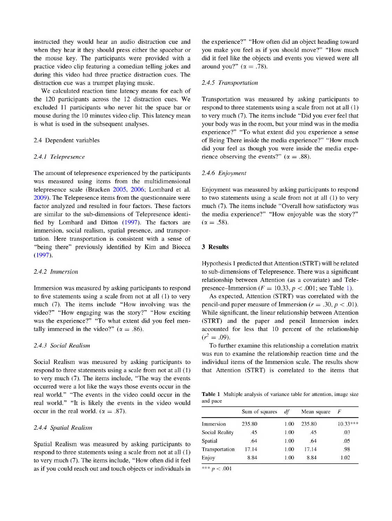instructed they would hear an audio distraction cue and when they hear it they should press either the spacebar or the mouse key. The participants were provided with a practice video clip featuring a comedian telling jokes and during this video had three practice distraction cues. The distraction cue was a trumpet playing music.

We calculated reaction time latency means for each of the 120 participants across the 12 distraction cues. We excluded 11 participants who never hit the space bar or mouse during the 10 minutes video clip. This latency mean is what is used in the subsequent analyses.

#### 2.4 Dependent variables

#### *2.4.1 Telepresence*

The amount of telepresence experienced by the participants was measured using items from the multidimensional telepresence scale (Bracken 2005, 2006; Lombard et al. 2009). The Telepresence items from the questionnaire were factor analyzed and resulted in four factors. These factors are similar to the sub-dimensions of Telepresence identified by Lombard and Ditton (1997). The factors are immersion, social realism, spatial presence, and transportation. Here transportation is consistent with a sense of "being there" previously identified by Kim and Biocca (1997).

#### *2.4.2 Immersion*

Immersion was measured by asking participants to respond to five statements using a scale from not at all (1) to very much (7). The items include "How involving was the video?" "How engaging was the story?" "How exciting was the experience?" "To what extent did you feel mentally immersed in the video?" ( $\alpha = .86$ ).

#### *2.4.3 Social Realism*

Social Realism was measured by asking participants to respond to three statements using a scale from not at all (1) to very much (7). The items include, "The way the events occurred were a lot like the ways those events occur in the real world." "The events in the video could occur in the real world." "It is likely the events in the video would occur in the real world. ( $\alpha = .87$ ).

#### *2.4.4 Spatial Realism*

Spatial Realism was measured by asking participants to respond to three statements using a scale from not at all (1) to very much (7). The items include, "How often did it feel as if you could reach out and touch objects or individuals in

the experience?" "How often did an object heading toward you make you feel as if you should move?" "How much did it feel like the objects and events you viewed were all around you?" ( $\alpha = .78$ ).

#### *2.4.5 Transportation*

Transportation was measured by asking participants to respond to three statements using a scale from not at all (1) to very much (7). The items include "Did you ever feel that your body was in the room, but your mind was in the media experience?" "To what extent did you experience a sense of Being There inside the media experience?" "How much did your feel as though you were inside the media experience observing the events?" ( $\alpha = .88$ ).

#### *2.4.6 Enjoyment*

Enjoyment was measured by asking participants to respond to two statements using a scale from not at all (1) to very much (7). The items include "Overall how satisfactory was the media experience?" "How enjoyable was the story?"  $(\alpha = .58)$ .

#### **3 Results**

Hypothesis 1 predicted that Attention (STRT) will be related to sub-dimensions of Telepresence. There was a significant relationship between Attention (as a covariate) and Telepresence-Immersion  $(F = 10.33, p < .001$ ; see Table 1).

As expected, Attention (STRT) was correlated with the pencil-and paper measure of Immersion ( $r = .30$ ,  $p < .01$ ). While significant, the linear relationship between Attention (STRT) and the paper and pencil Immersion index accounted for less that 10 percent of the relationship  $(r^2=.09)$ .

To further examine this relationship a correlation matrix was run to examine the relationship reaction time and the individual items of the Immersion scale. The results show that Attention (STRT) is correlated to the items that

**Table 1** Multiple analysis of variance table for attention, image size and pace

|                | Sum of squares | df   | Mean square | F          |  |
|----------------|----------------|------|-------------|------------|--|
| Immersion      | 235.80         | 1.00 | 235.80      | $10.33***$ |  |
| Social Reality | .45            | 1.00 | .45         | .03        |  |
| Spatial        | .64            | 1.00 | .64         | .05        |  |
| Transportation | 17.14          | 1.00 | 17.14       | .98        |  |
| Enjoy          | 8.84           | 1.00 | 8.84        | 1.02       |  |

*\*\*\* p* < .001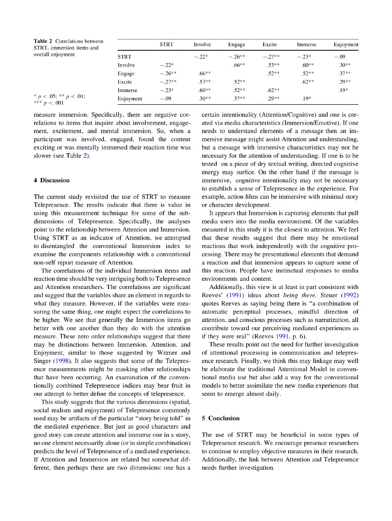| <b>Table 2</b> Correlations between<br>STRT, immersion items and<br>overall enjoyment<br>* $p < .05$ ; ** $p < .01$ ;<br>*** $p < .001$ |             | <b>STRT</b> | Involve  | Engage   | Excite   | Immerse | Enjoyment |
|-----------------------------------------------------------------------------------------------------------------------------------------|-------------|-------------|----------|----------|----------|---------|-----------|
|                                                                                                                                         | <b>STRT</b> |             | $-.22*$  | $-.26**$ | $-.27**$ | $-.23*$ | $-.09$    |
|                                                                                                                                         | Involve     | $-.22*$     |          | $.66**$  | $.53**$  | $.60**$ | $.30**$   |
|                                                                                                                                         | Engage      | $-.26**$    | $.66***$ |          | $.52**$  | $.52**$ | $.37**$   |
|                                                                                                                                         | Excite      | $-27**$     | $.53**$  | $.52**$  |          | $.62**$ | $.29**$   |
|                                                                                                                                         | Immerse     | $-.23*$     | $.60**$  | $.52**$  | $.62**$  |         | $.19*$    |
|                                                                                                                                         | Enjoyment   | $-.09$      | $.30**$  | $.37**$  | $29**$   | $.19*$  |           |

measure immersion. Specifically, there are negative correlations to items that inquire about involvement, engagement, excitement, and mental immersion. So, when a participant was involved, engaged, found the content exciting or was mentally immersed their reaction time was slower (see Table 2).

#### **4 Discussion**

The current study revisited the use of STRT to measure Telepresence. The results indicate that there is value in using this measurement technique for some of the subdimensions of Telepresence. Specifically, the analyses point to the relationship between Attention and Immersion. Using STRT as an indicator of Attention, we attempted to disentangled the conventional Immersion index to examine the components relationship with a conventional non-self report measure of Attention.

The correlations of the individual Immersion items and reaction time should be very intriguing both to Telepresence and Attention researchers. The correlations are significant and suggest that the variables share an element in regards to what they measure. However, if the variables were measuring the same thing, one might expect the correlations to be higher. We see that generally the Immersion items go better with one another than they do with the attention measure. These zero order relationships suggest that there may be distinctions between Immersion, Attention, and Enjoyment, similar to those suggested by Witmer and Singer (1998). It also suggests that some of the Telepresence measurements might be masking other relationships that have been occurring. An examination of the conventionally combined Telepresence indices may bear fruit in our attempt to better define the concepts of telepresence.

This study suggests that the various dimensions (spatial, social realism and enjoyment) of Telepresence commonly used may be artifacts of the particular "story being told" in the mediated experience. But just as good characters and good story can create attention and immerse one in a story, no one element necessarily alone (or in simple combination) predicts the level of Telepresence of a mediated experience. If Attention and Immersion are related but somewhat different, then perhaps there are two dimensions: one has a

certain intentionality (Attention/Cognitive) and one is created via media characteristics (Immersion/Emotive). If one needs to understand elements of a message then an immersive message might assist Attention and understanding, but a message with immersive characteristics may not be necessary for the attention of understanding. If one is to be tested on a piece of dry textual writing, directed cognitive energy may surfice. On the other hand if the message is immersive, cognitive intentionality may not be necessary to establish a sense of Telepresence in the experience. For example, action films can be immersive with minimal story or character development.

It appears that Immersion is capturing elements that pull media users into the media environment. Of the variables measured in this study it is the closest to attention. We feel that these results suggest that there may be emotional reactions that work independently with the cognitive processing. There may be presentational elements that demand a reaction and that immersion appears to capture some of this reaction. People have instinctual responses to media environments and content.

Additionally, this view is at least in part consistent with Reeves' (1991) ideas about *being there.* Steuer (1992) quotes Reeves as saying being there is "a combination of automatic perceptual processes, mindful direction of attention, and conscious processes such as narratization, all contribute toward our perceiving mediated experiences as if they were real" (Reeves 1991, p. 6).

These results point out the need for further investigation of attentional processing in communication and telepresence research. Finally, we think this may linkage may well be elaborate the traditional Attentional Model in conventional media use but also add a way for the conventional models to better assimilate the new media experiences that seem to emerge almost daily.

#### **5 Conclusion**

The use of STRT may be beneficial in some types of Telepresence research. We encourage presence researchers to continue to employ objective measures in their research. Additionally, the link between Attention and Telepresence needs further investigation.